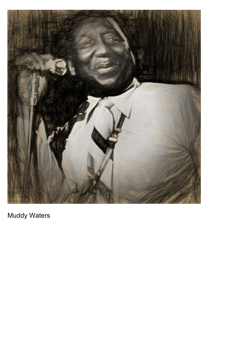

Muddy Waters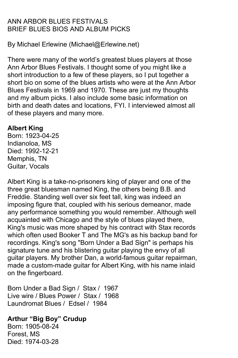# ANN ARBOR BLUES FESTIVALS BRIEF BLUES BIOS AND ALBUM PICKS

By Michael Erlewine (Michael@Erlewine.net)

There were many of the world's greatest blues players at those Ann Arbor Blues Festivals. I thought some of you might like a short introduction to a few of these players, so I put together a short bio on some of the blues artists who were at the Ann Arbor Blues Festivals in 1969 and 1970. These are just my thoughts and my album picks. I also include some basic information on birth and death dates and locations, FYI. I interviewed almost all of these players and many more.

# **Albert King**

Born: 1923-04-25 Indianoloa, MS Died: 1992-12-21 Memphis, TN Guitar, Vocals

Albert King is a take-no-prisoners king of player and one of the three great bluesman named King, the others being B.B. and Freddie. Standing well over six feet tall, king was indeed an imposing figure that, coupled with his serious demeanor, made any performance something you would remember. Although well acquainted with Chicago and the style of blues played there, King's music was more shaped by his contract with Stax records which often used Booker T and The MG's as his backup band for recordings. King's song "Born Under a Bad Sign" is perhaps his signature tune and his blistering guitar playing the envy of all guitar players. My brother Dan, a world-famous guitar repairman, made a custom-made guitar for Albert King, with his name inlaid on the fingerboard.

Born Under a Bad Sign / Stax / 1967 Live wire / Blues Power / Stax / 1968 Laundromat Blues / Edsel / 1984

# **Arthur "Big Boy" Crudup**

Born: 1905-08-24 Forest, MS Died: 1974-03-28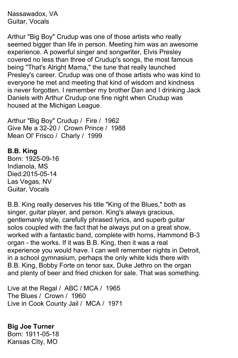Nassawadox, VA Guitar, Vocals

Arthur "Big Boy" Crudup was one of those artists who really seemed bigger than life in person. Meeting him was an awesome experience. A powerful singer and songwriter, Elvis Presley covered no less than three of Crudup's songs, the most famous being "That's Alright Mama," the tune that really launched Presley's career. Crudup was one of those artists who was kind to everyone he met and meeting that kind of wisdom and kindness is never forgotten. I remember my brother Dan and I drinking Jack Daniels with Arthur Crudup one fine night when Crudup was housed at the Michigan League.

Arthur "Big Boy" Crudup / Fire / 1962 Give Me a 32-20 / Crown Prince / 1988 Mean Ol' Frisco / Charly / 1999

#### **B.B. King**

Born: 1925-09-16 Indianola, MS Died:2015-05-14 Las Vegas, NV Guitar, Vocals

B.B. King really deserves his title "King of the Blues," both as singer, guitar player, and person. King's always gracious, gentlemanly style, carefully phrased lyrics, and superb guitar solos coupled with the fact that he always put on a great show, worked with a fantastic band, complete with horns, Hammond B-3 organ - the works. If it was B.B. King, then it was a real experience you would have. I can well remember nights in Detroit, in a school gymnasium, perhaps the only white kids there with B.B. King, Bobby Forte on tenor sax, Duke Jethro on the organ and plenty of beer and fried chicken for sale. That was something.

Live at the Regal / ABC / MCA / 1965 The Blues / Crown / 1960 Live in Cook County Jail / MCA / 1971

**Big Joe Turner** Born: 1911-05-18 Kansas CIty, MO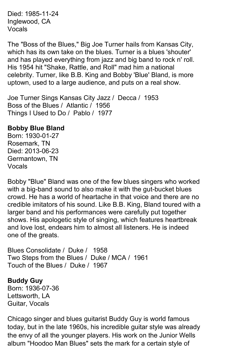Died: 1985-11-24 Inglewood, CA Vocals

The "Boss of the Blues," Big Joe Turner hails from Kansas City, which has its own take on the blues. Turner is a blues 'shouter' and has played everything from jazz and big band to rock n' roll. His 1954 hit "Shake, Rattle, and Roll" mad him a national celebrity. Turner, like B.B. King and Bobby 'Blue' Bland, is more uptown, used to a large audience, and puts on a real show.

Joe Turner Sings Kansas City Jazz / Decca / 1953 Boss of the Blues / Atlantic / 1956 Things I Used to Do / Pablo / 1977

## **Bobby Blue Bland**

Born: 1930-01-27 Rosemark, TN Died: 2013-06-23 Germantown, TN Vocals

Bobby "Blue" Bland was one of the few blues singers who worked with a big-band sound to also make it with the gut-bucket blues crowd. He has a world of heartache in that voice and there are no credible imitators of his sound. Like B.B. King, Bland toured with a larger band and his performances were carefully put together shows. His apologetic style of singing, which features heartbreak and love lost, endears him to almost all listeners. He is indeed one of the greats.

Blues Consolidate / Duke / 1958 Two Steps from the Blues / Duke / MCA / 1961 Touch of the Blues / Duke / 1967

**Buddy Guy** Born: 1936-07-36 Lettsworth, LA Guitar, Vocals

Chicago singer and blues guitarist Buddy Guy is world famous today, but in the late 1960s, his incredible guitar style was already the envy of all the younger players. His work on the Junior Wells album "Hoodoo Man Blues" sets the mark for a certain style of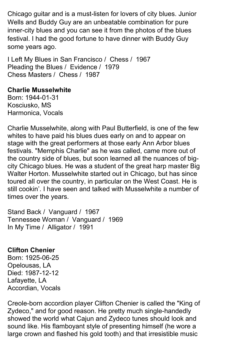Chicago guitar and is a must-listen for lovers of city blues. Junior Wells and Buddy Guy are an unbeatable combination for pure inner-city blues and you can see it from the photos of the blues festival. I had the good fortune to have dinner with Buddy Guy some years ago.

I Left My Blues in San Francisco / Chess / 1967 Pleading the Blues / Evidence / 1979 Chess Masters / Chess / 1987

## **Charlie Musselwhite**

Born: 1944-01-31 Kosciusko, MS Harmonica, Vocals

Charlie Musselwhite, along with Paul Butterfield, is one of the few whites to have paid his blues dues early on and to appear on stage with the great performers at those early Ann Arbor blues festivals. "Memphis Charlie" as he was called, came more out of the country side of blues, but soon learned all the nuances of bigcity Chicago blues. He was a student of the great harp master Big Walter Horton. Musselwhite started out in Chicago, but has since toured all over the country, in particular on the West Coast. He is still cookin'. I have seen and talked with Musselwhite a number of times over the years.

Stand Back / Vanguard / 1967 Tennessee Woman / Vanguard / 1969 In My Time / Alligator / 1991

# **Clifton Chenier**

Born: 1925-06-25 Opelousas, LA Died: 1987-12-12 Lafayette, LA Accordian, Vocals

Creole-born accordion player Clifton Chenier is called the "King of Zydeco," and for good reason. He pretty much single-handedly showed the world what Cajun and Zydeco tunes should look and sound like. His flamboyant style of presenting himself (he wore a large crown and flashed his gold tooth) and that irresistible music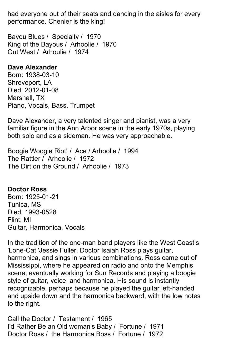had everyone out of their seats and dancing in the aisles for every performance. Chenier is the king!

Bayou Blues / Specialty / 1970 King of the Bayous / Arhoolie / 1970 Out West / Arhoulie / 1974

## **Dave Alexander**

Born: 1938-03-10 Shreveport, LA Died: 2012-01-08 Marshall, TX Piano, Vocals, Bass, Trumpet

Dave Alexander, a very talented singer and pianist, was a very familiar figure in the Ann Arbor scene in the early 1970s, playing both solo and as a sideman. He was very approachable.

Boogie Woogie Riot! / Ace / Arhoolie / 1994 The Rattler / Arhoolie / 1972 The Dirt on the Ground / Arhoolie / 1973

# **Doctor Ross**

Born: 1925-01-21 Tunica, MS Died: 1993-0528 Flint, MI Guitar, Harmonica, Vocals

In the tradition of the one-man band players like the West Coast's 'Lone-Cat 'Jessie Fuller, Doctor Isaiah Ross plays guitar, harmonica, and sings in various combinations. Ross came out of Mississippi, where he appeared on radio and onto the Memphis scene, eventually working for Sun Records and playing a boogie style of guitar, voice, and harmonica. His sound is instantly recognizable, perhaps because he played the guitar left-handed and upside down and the harmonica backward, with the low notes to the right.

Call the Doctor / Testament / 1965 I'd Rather Be an Old woman's Baby / Fortune / 1971 Doctor Ross / the Harmonica Boss / Fortune / 1972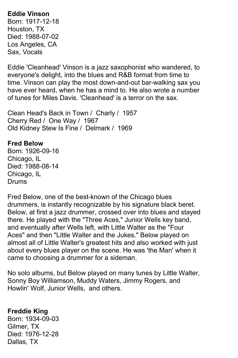# **Eddie Vinson**

Born: 1917-12-18 Houston, TX Died: 1988-07-02 Los Angeles, CA Sax, Vocals

Eddie 'Cleanhead' Vinson is a jazz saxophonist who wandered, to everyone's delight, into the blues and R&B format from time to time. Vinson can play the most down-and-out bar-walking sax you have ever heard, when he has a mind to. He also wrote a number of tunes for Miles Davis. 'Cleanhead' is a terror on the sax.

Clean Head's Back in Town / Charly / 1957 Cherry Red / One Way / 1967 Old Kidney Stew Is Fine / Delmark / 1969

### **Fred Below**

Born: 1926-09-16 Chicago, IL Died: 1988-08-14 Chicago, IL Drums

Fred Below, one of the best-known of the Chicago blues drummers, is instantly recognizable by his signature black beret. Below, at first a jazz drummer, crossed over into blues and stayed there. He played with the "Three Aces," Junior Wells key band, and eventually after Wells left, with Little Walter as the "Four Aces" and then "Little Walter and the Jukes." Below played on almost all of Little Walter's greatest hits and also worked with just about every blues player on the scene. He was 'the Man' when it came to choosing a drummer for a sideman.

No solo albums, but Below played on many tunes by Little Walter, Sonny Boy Williamson, Muddy Waters, Jimmy Rogers, and Howlin' Wolf, Junior Wells, and others.

# **Freddie King**

Born: 1934-09-03 Gilmer, TX Died: 1976-12-28 Dallas, TX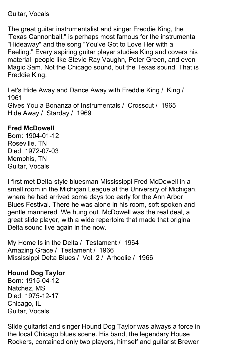## Guitar, Vocals

The great guitar instrumentalist and singer Freddie King, the 'Texas Cannonball," is perhaps most famous for the instrumental "Hideaway" and the song "You've Got to Love Her with a Feeling." Every aspiring guitar player studies King and covers his material, people like Stevie Ray Vaughn, Peter Green, and even Magic Sam. Not the Chicago sound, but the Texas sound. That is Freddie King.

Let's Hide Away and Dance Away with Freddie King / King / 1961 Gives You a Bonanza of Instrumentals / Crosscut / 1965 Hide Away / Starday / 1969

# **Fred McDowell**

Born: 1904-01-12 Roseville, TN Died: 1972-07-03 Memphis, TN Guitar, Vocals

I first met Delta-style bluesman Mississippi Fred McDowell in a small room in the Michigan League at the University of Michigan, where he had arrived some days too early for the Ann Arbor Blues Festival. There he was alone in his room, soft spoken and gentle mannered. We hung out. McDowell was the real deal, a great slide player, with a wide repertoire that made that original Delta sound live again in the now.

My Home Is in the Delta / Testament / 1964 Amazing Grace / Testament / 1966 Mississippi Delta Blues / Vol. 2 / Arhoolie / 1966

# **Hound Dog Taylor**

Born: 1915-04-12 Natchez, MS Died: 1975-12-17 Chicago, IL Guitar, Vocals

Slide guitarist and singer Hound Dog Taylor was always a force in the local Chicago blues scene. His band, the legendary House Rockers, contained only two players, himself and guitarist Brewer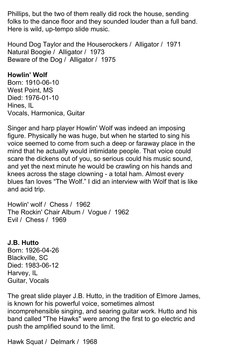Phillips, but the two of them really did rock the house, sending folks to the dance floor and they sounded louder than a full band. Here is wild, up-tempo slide music.

Hound Dog Taylor and the Houserockers / Alligator / 1971 Natural Boogie / Alligator / 1973 Beware of the Dog / Alligator / 1975

# **Howlin' Wolf**

Born: 1910-06-10 West Point, MS Died: 1976-01-10 Hines, IL Vocals, Harmonica, Guitar

Singer and harp player Howlin' Wolf was indeed an imposing figure. Physically he was huge, but when he started to sing his voice seemed to come from such a deep or faraway place in the mind that he actually would intimidate people. That voice could scare the dickens out of you, so serious could his music sound, and yet the next minute he would be crawling on his hands and knees across the stage clowning - a total ham. Almost every blues fan loves "The Wolf." I did an interview with Wolf that is like and acid trip.

Howlin' wolf / Chess / 1962 The Rockin' Chair Album / Vogue / 1962 Evil / Chess / 1969

# **J.B. Hutto**

Born: 1926-04-26 Blackville, SC Died: 1983-06-12 Harvey, IL Guitar, Vocals

The great slide player J.B. Hutto, in the tradition of Elmore James, is known for his powerful voice, sometimes almost incomprehensible singing, and searing guitar work. Hutto and his band called "The Hawks" were among the first to go electric and push the amplified sound to the limit.

Hawk Squat / Delmark / 1968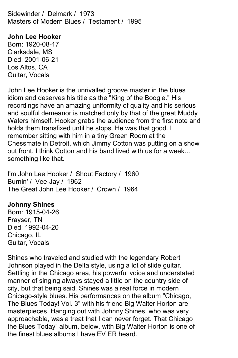Sidewinder / Delmark / 1973 Masters of Modern Blues / Testament / 1995

**John Lee Hooker** Born: 1920-08-17 Clarksdale, MS Died: 2001-06-21 Los Altos, CA

Guitar, Vocals

John Lee Hooker is the unrivalled groove master in the blues idiom and deserves his title as the "King of the Boogie." His recordings have an amazing uniformity of quality and his serious and soulful demeanor is matched only by that of the great Muddy Waters himself. Hooker grabs the audience from the first note and holds them transfixed until he stops. He was that good. I remember sitting with him in a tiny Green Room at the Chessmate in Detroit, which Jimmy Cotton was putting on a show out front. I think Cotton and his band lived with us for a week… something like that.

I'm John Lee Hooker / Shout Factory / 1960 Burnin' / Vee-Jay / 1962 The Great John Lee Hooker / Crown / 1964

### **Johnny Shines**

Born: 1915-04-26 Frayser, TN Died: 1992-04-20 Chicago, IL Guitar, Vocals

Shines who traveled and studied with the legendary Robert Johnson played in the Delta style, using a lot of slide guitar. Settling in the Chicago area, his powerful voice and understated manner of singing always stayed a little on the country side of city, but that being said, Shines was a real force in modern Chicago-style blues. His performances on the album "Chicago, The Blues Today! Vol. 3" with his friend Big Walter Horton are masterpieces. Hanging out with Johnny Shines, who was very approachable, was a treat that I can never forget. That Chicago the Blues Today" album, below, with Big Walter Horton is one of the finest blues albums I have EV ER heard.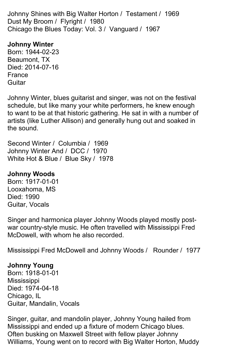Johnny Shines with Big Walter Horton / Testament / 1969 Dust My Broom / Flyright / 1980 Chicago the Blues Today: Vol. 3 / Vanguard / 1967

# **Johnny Winter**

Born: 1944-02-23 Beaumont, TX Died: 2014-07-16 France **Guitar** 

Johnny Winter, blues guitarist and singer, was not on the festival schedule, but like many your white performers, he knew enough to want to be at that historic gathering. He sat in with a number of artists (like Luther Allison) and generally hung out and soaked in the sound.

Second Winter / Columbia / 1969 Johnny Winter And / DCC / 1970 White Hot & Blue / Blue Sky / 1978

# **Johnny Woods**

Born: 1917-01-01 Looxahoma, MS Died: 1990 Guitar, Vocals

Singer and harmonica player Johnny Woods played mostly postwar country-style music. He often travelled with Mississippi Fred McDowell, with whom he also recorded.

Mississippi Fred McDowell and Johnny Woods / Rounder / 1977

# **Johnny Young**

Born: 1918-01-01 **Mississippi** Died: 1974-04-18 Chicago, IL Guitar, Mandalin, Vocals

Singer, guitar, and mandolin player, Johnny Young hailed from Mississippi and ended up a fixture of modern Chicago blues. Often busking on Maxwell Street with fellow player Johnny Williams, Young went on to record with Big Walter Horton, Muddy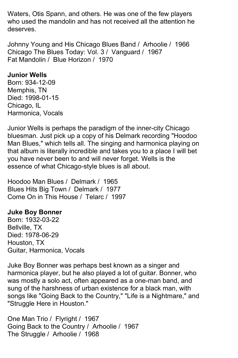Waters, Otis Spann, and others. He was one of the few players who used the mandolin and has not received all the attention he deserves.

Johnny Young and His Chicago Blues Band / Arhoolie / 1966 Chicago The Blues Today: Vol. 3 / Vanguard / 1967 Fat Mandolin / Blue Horizon / 1970

## **Junior Wells**

Born: 934-12-09 Memphis, TN Died: 1998-01-15 Chicago, IL Harmonica, Vocals

Junior Wells is perhaps the paradigm of the inner-city Chicago bluesman. Just pick up a copy of his Delmark recording "Hoodoo Man Blues," which tells all. The singing and harmonica playing on that album is literally incredible and takes you to a place I will bet you have never been to and will never forget. Wells is the essence of what Chicago-style blues is all about.

Hoodoo Man Blues / Delmark / 1965 Blues Hits Big Town / Delmark / 1977 Come On in This House / Telarc / 1997

# **Juke Boy Bonner**

Born: 1932-03-22 Bellville, TX Died: 1978-06-29 Houston, TX Guitar, Harmonica, Vocals

Juke Boy Bonner was perhaps best known as a singer and harmonica player, but he also played a lot of guitar. Bonner, who was mostly a solo act, often appeared as a one-man band, and sung of the harshness of urban existence for a black man, with songs like "Going Back to the Country," "Life is a Nightmare," and "Struggle Here in Houston."

One Man Trio / Flyright / 1967 Going Back to the Country / Arhoolie / 1967 The Struggle / Arhoolie / 1968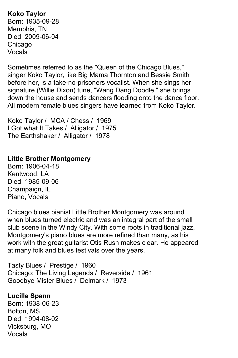**Koko Taylor** Born: 1935-09-28 Memphis, TN Died: 2009-06-04 Chicago Vocals

Sometimes referred to as the "Queen of the Chicago Blues," singer Koko Taylor, like Big Mama Thornton and Bessie Smith before her, is a take-no-prisoners vocalist. When she sings her signature (Willie Dixon) tune, "Wang Dang Doodle," she brings down the house and sends dancers flooding onto the dance floor. All modern female blues singers have learned from Koko Taylor.

Koko Taylor / MCA / Chess / 1969 I Got what It Takes / Alligator / 1975 The Earthshaker / Alligator / 1978

## **Little Brother Montgomery**

Born: 1906-04-18 Kentwood, LA Died: 1985-09-06 Champaign, IL Piano, Vocals

Chicago blues pianist Little Brother Montgomery was around when blues turned electric and was an integral part of the small club scene in the Windy City. With some roots in traditional jazz, Montgomery's piano blues are more refined than many, as his work with the great guitarist Otis Rush makes clear. He appeared at many folk and blues festivals over the years.

Tasty Blues / Prestige / 1960 Chicago: The Living Legends / Reverside / 1961 Goodbye Mister Blues / Delmark / 1973

# **Lucille Spann**

Born: 1938-06-23 Bolton, MS Died: 1994-08-02 Vicksburg, MO Vocals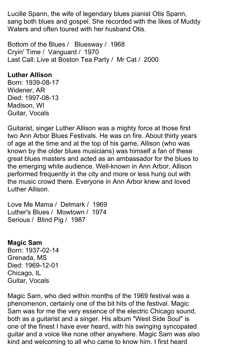Lucille Spann, the wife of legendary blues pianist Otis Spann, sang both blues and gospel. She recorded with the likes of Muddy Waters and often toured with her husband Otis.

Bottom of the Blues / Bluesway / 1968 Cryin' Time / Vanguard / 1970 Last Call: Live at Boston Tea Party / Mr Cat / 2000

# **Luther Allison**

Born: 1939-08-17 Widener, AR Died: 1997-08-13 Madison, WI Guitar, Vocals

Guitarist, singer Luther Allison was a mighty force at those first two Ann Arbor Blues Festivals. He was on fire. About thirty years of age at the time and at the top of his game, Allison (who was known by the older blues musicians) was himself a fan of these great blues masters and acted as an ambassador for the blues to the emerging white audience. Well-known in Ann Arbor, Allison performed frequently in the city and more or less hung out with the music crowd there. Everyone in Ann Arbor knew and loved Luther Allison.

Love Me Mama / Delmark / 1969 Luther's Blues / Mowtown / 1974 Serious / Blind Pig / 1987

### **Magic Sam**

Born: 1937-02-14 Grenada, MS Died: 1969-12-01 Chicago, IL Guitar, Vocals

Magic Sam, who died within months of the 1969 festival was a phenomenon, certainly one of the bit hits of the festival. Magic Sam was for me the very essence of the electric Chicago sound, both as a guitarist and a singer. His album "West Side Soul" is one of the finest I have ever heard, with his swinging syncopated guitar and a voice like none other anywhere. Magic Sam was also kind and welcoming to all who came to know him. I first heard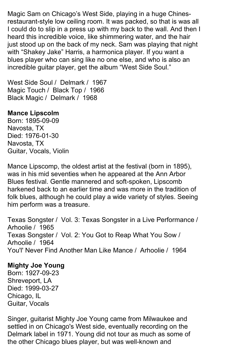Magic Sam on Chicago's West Side, playing in a huge Chinesrestaurant-style low ceiling room. It was packed, so that is was all I could do to slip in a press up with my back to the wall. And then I heard this incredible voice, like shimmering water, and the hair just stood up on the back of my neck. Sam was playing that night with "Shakey Jake" Harris, a harmonica player. If you want a blues player who can sing like no one else, and who is also an incredible guitar player, get the album "West Side Soul."

West Side Soul / Delmark / 1967 Magic Touch / Black Top / 1966 Black Magic / Delmark / 1968

### **Mance Lipscolm**

Born: 1895-09-09 Navosta, TX Died: 1976-01-30 Navosta, TX Guitar, Vocals, Violin

Mance Lipscomp, the oldest artist at the festival (born in 1895), was in his mid seventies when he appeared at the Ann Arbor Blues festival. Gentle mannered and soft-spoken, Lipscomb harkened back to an earlier time and was more in the tradition of folk blues, although he could play a wide variety of styles. Seeing him perform was a treasure.

Texas Songster / Vol. 3: Texas Songster in a Live Performance / Arhoolie / 1965 Texas Songster / Vol. 2: You Got to Reap What You Sow / Arhoolie / 1964 You'l' Never Find Another Man Like Mance / Arhoolie / 1964

# **Mighty Joe Young**

Born: 1927-09-23 Shreveport, LA Died: 1999-03-27 Chicago, IL Guitar, Vocals

Singer, guitarist Mighty Joe Young came from Milwaukee and settled in on Chicago's West side, eventually recording on the Delmark label in 1971. Young did not tour as much as some of the other Chicago blues player, but was well-known and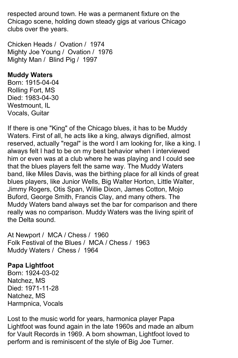respected around town. He was a permanent fixture on the Chicago scene, holding down steady gigs at various Chicago clubs over the years.

Chicken Heads / Ovation / 1974 Mighty Joe Young / Ovation / 1976 Mighty Man / Blind Pig / 1997

## **Muddy Waters**

Born: 1915-04-04 Rolling Fort, MS Died: 1983-04-30 Westmount, IL Vocals, Guitar

If there is one "King" of the Chicago blues, it has to be Muddy Waters. First of all, he acts like a king, always dignified, almost reserved, actually "regal" is the word I am looking for, like a king. I always felt I had to be on my best behavior when I interviewed him or even was at a club where he was playing and I could see that the blues players felt the same way. The Muddy Waters band, like Miles Davis, was the birthing place for all kinds of great blues players, like Junior Wells, Big Walter Horton, Little Walter, Jimmy Rogers, Otis Span, Willie Dixon, James Cotton, Mojo Buford, George Smith, Francis Clay, and many others. The Muddy Waters band always set the bar for comparison and there really was no comparison. Muddy Waters was the living spirit of the Delta sound.

At Newport / MCA / Chess / 1960 Folk Festival of the Blues / MCA / Chess / 1963 Muddy Waters / Chess / 1964

# **Papa Lightfoot**

Born: 1924-03-02 Natchez, MS Died: 1971-11-28 Natchez, MS Harmpnica, Vocals

Lost to the music world for years, harmonica player Papa Lightfoot was found again in the late 1960s and made an album for Vault Records in 1969. A born showman, Lightfoot loved to perform and is reminiscent of the style of Big Joe Turner.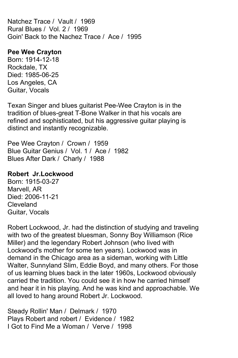Natchez Trace / Vault / 1969 Rural Blues / Vol. 2 / 1969 Goin' Back to the Nachez Trace / Ace / 1995

## **Pee Wee Crayton**

Born: 1914-12-18 Rockdale, TX Died: 1985-06-25 Los Angeles, CA Guitar, Vocals

Texan Singer and blues guitarist Pee-Wee Crayton is in the tradition of blues-great T-Bone Walker in that his vocals are refined and sophisticated, but his aggressive guitar playing is distinct and instantly recognizable.

Pee Wee Crayton / Crown / 1959 Blue Guitar Genius / Vol. 1 / Ace / 1982 Blues After Dark / Charly / 1988

# **Robert Jr.Lockwood**

Born: 1915-03-27 Marvell, AR Died: 2006-11-21 Cleveland Guitar, Vocals

Robert Lockwood, Jr. had the distinction of studying and traveling with two of the greatest bluesman, Sonny Boy Williamson (Rice Miller) and the legendary Robert Johnson (who lived with Lockwood's mother for some ten years). Lockwood was in demand in the Chicago area as a sideman, working with Little Walter, Sunnyland Slim, Eddie Boyd, and many others. For those of us learning blues back in the later 1960s, Lockwood obviously carried the tradition. You could see it in how he carried himself and hear it in his playing. And he was kind and approachable. We all loved to hang around Robert Jr. Lockwood.

Steady Rollin' Man / Delmark / 1970 Plays Robert and robert / Evidence / 1982 I Got to Find Me a Woman / Verve / 1998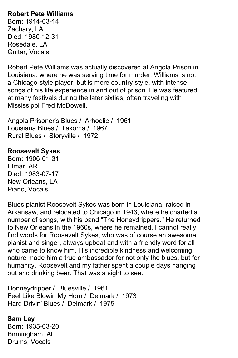# **Robert Pete Williams**

Born: 1914-03-14 Zachary, LA Died: 1980-12-31 Rosedale, LA Guitar, Vocals

Robert Pete Williams was actually discovered at Angola Prison in Louisiana, where he was serving time for murder. Williams is not a Chicago-style player, but is more country style, with intense songs of his life experience in and out of prison. He was featured at many festivals during the later sixties, often traveling with Mississippi Fred McDowell.

Angola Prisoner's Blues / Arhoolie / 1961 Louisiana Blues / Takoma / 1967 Rural Blues / Storyville / 1972

## **Roosevelt Sykes**

Born: 1906-01-31 Elmar, AR Died: 1983-07-17 New Orleans, LA Piano, Vocals

Blues pianist Roosevelt Sykes was born in Louisiana, raised in Arkansaw, and relocated to Chicago in 1943, where he charted a number of songs, with his band "The Honeydrippers." He returned to New Orleans in the 1960s, where he remained. I cannot really find words for Roosevelt Sykes, who was of course an awesome pianist and singer, always upbeat and with a friendly word for all who came to know him. His incredible kindness and welcoming nature made him a true ambassador for not only the blues, but for humanity. Roosevelt and my father spent a couple days hanging out and drinking beer. That was a sight to see.

Honneydripper / Bluesville / 1961 Feel Like Blowin My Horn / Delmark / 1973 Hard Drivin' Blues / Delmark / 1975

**Sam Lay** Born: 1935-03-20 Birmingham, AL Drums, Vocals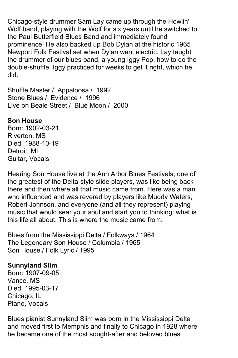Chicago-style drummer Sam Lay came up through the Howlin' Wolf band, playing with the Wolf for six years until he switched to the Paul Butterfield Blues Band and immediately found prominence. He also backed up Bob Dylan at the historic 1965 Newport Folk Festival set when Dylan went electric. Lay taught the drummer of our blues band, a young Iggy Pop, how to do the double-shuffle. Iggy practiced for weeks to get it right, which he did.

Shuffle Master / Appaloosa / 1992 Stone Blues / Evidence / 1996 Live on Beale Street / Blue Moon / 2000

### **Son House**

Born: 1902-03-21 Riverton, MS Died: 1988-10-19 Detroit, MI Guitar, Vocals

Hearing Son House live at the Ann Arbor Blues Festivals, one of the greatest of the Delta-style slide players, was like being back there and then where all that music came from. Here was a man who influenced and was revered by players like Muddy Waters, Robert Johnson, and everyone (and all they represent) playing music that would sear your soul and start you to thinking: what is this life all about. This is where the music came from.

Blues from the Mississippi Delta / Folkways / 1964 The Legendary Son House / Columbia / 1965 Son House / Folk Lyric / 1995

### **Sunnyland Slim**

Born: 1907-09-05 Vance, MS Died: 1995-03-17 Chicago, IL Piano, Vocals

Blues pianist Sunnyland Slim was born in the Mississippi Delta and moved first to Memphis and finally to Chicago in 1928 where he became one of the most sought-after and beloved blues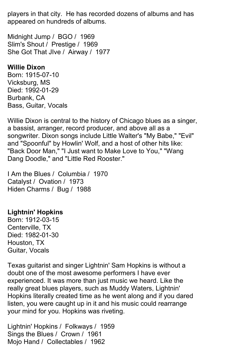players in that city. He has recorded dozens of albums and has appeared on hundreds of albums.

Midnight Jump / BGO / 1969 Slim's Shout / Prestige / 1969 She Got That JIve / Airway / 1977

#### **Willie Dixon**

Born: 1915-07-10 Vicksburg, MS Died: 1992-01-29 Burbank, CA Bass, Guitar, Vocals

Willie Dixon is central to the history of Chicago blues as a singer, a bassist, arranger, record producer, and above all as a songwriter. Dixon songs include Little Walter's "My Babe," "Evil" and "Spoonful" by Howlin' Wolf, and a host of other hits like: "Back Door Man," "I Just want to Make Love to You," "Wang Dang Doodle," and "Little Red Rooster."

I Am the Blues / Columbia / 1970 Catalyst / Ovation / 1973 Hiden Charms / Bug / 1988

# **Lightnin' Hopkins**

Born: 1912-03-15 Centerville, TX Died: 1982-01-30 Houston, TX Guitar, Vocals

Texas guitarist and singer Lightnin' Sam Hopkins is without a doubt one of the most awesome performers I have ever experienced. It was more than just music we heard. Like the really great blues players, such as Muddy Waters, Lightnin' Hopkins literally created time as he went along and if you dared listen, you were caught up in it and his music could rearrange your mind for you. Hopkins was riveting.

Lightnin' Hopkins / Folkways / 1959 Sings the Blues / Crown / 1961 Mojo Hand / Collectables / 1962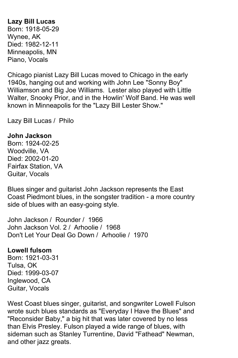**Lazy Bill Lucas** Born: 1918-05-29 Wynee, AK Died: 1982-12-11 Minneapolis, MN Piano, Vocals

Chicago pianist Lazy Bill Lucas moved to Chicago in the early 1940s, hanging out and working with John Lee "Sonny Boy" Williamson and Big Joe Williams. Lester also played with Little Walter, Snooky Prior, and in the Howlin' Wolf Band. He was well known in Minneapolis for the "Lazy Bill Lester Show."

Lazy Bill Lucas / Philo

#### **John Jackson**

Born: 1924-02-25 Woodville, VA Died: 2002-01-20 Fairfax Station, VA Guitar, Vocals

Blues singer and guitarist John Jackson represents the East Coast Piedmont blues, in the songster tradition - a more country side of blues with an easy-going style.

John Jackson / Rounder / 1966 John Jackson Vol. 2 / Arhoolie / 1968 Don't Let Your Deal Go Down / Arhoolie / 1970

### **Lowell fulsom**

Born: 1921-03-31 Tulsa, OK Died: 1999-03-07 Inglewood, CA Guitar, Vocals

West Coast blues singer, guitarist, and songwriter Lowell Fulson wrote such blues standards as "Everyday I Have the Blues" and "Reconsider Baby," a big hit that was later covered by no less than Elvis Presley. Fulson played a wide range of blues, with sideman such as Stanley Turrentine, David "Fathead" Newman, and other jazz greats.